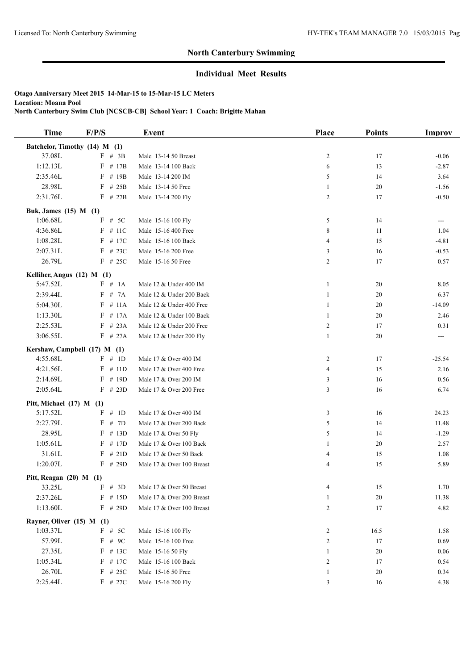## **North Canterbury Swimming**

## **Individual Meet Results**

**Otago Anniversary Meet 2015 14-Mar-15 to 15-Mar-15 LC Meters Location: Moana Pool North Canterbury Swim Club [NCSCB-CB] School Year: 1 Coach: Brigitte Mahan**

| <b>Time</b><br>F/P/S<br>Place<br>Event                                 | <b>Points</b><br>Improv          |
|------------------------------------------------------------------------|----------------------------------|
| Batchelor, Timothy (14) M (1)                                          |                                  |
| 37.08L<br>$F$ # 3B<br>Male 13-14 50 Breast<br>$\overline{c}$           | 17<br>$-0.06$                    |
| 1:12.13L<br>$F$ # 17B<br>Male 13-14 100 Back<br>6                      | 13<br>$-2.87$                    |
| 2:35.46L<br>F<br># 19B<br>Male 13-14 200 IM<br>5                       | 14<br>3.64                       |
| 28.98L<br>$F$ # 25B<br>Male 13-14 50 Free<br>1                         | $20\,$<br>$-1.56$                |
| 2:31.76L<br>$F$ # 27B<br>$\overline{c}$<br>Male 13-14 200 Fly          | 17<br>$-0.50$                    |
| Buk, James (15) M (1)                                                  |                                  |
| 1:06.68L<br>$F$ # 5C<br>Male 15-16 100 Fly<br>5                        | 14<br>$---$                      |
| $F$ # 11C<br>8<br>4:36.86L<br>Male 15-16 400 Free                      | 11<br>1.04                       |
| 1:08.28L<br>$F$ # 17C<br>Male 15-16 100 Back<br>$\overline{4}$         | 15<br>$-4.81$                    |
| $F$ # 23C<br>2:07.31L<br>Male 15-16 200 Free<br>3                      | 16<br>$-0.53$                    |
| 26.79L<br>$F$ # 25C<br>Male 15-16 50 Free<br>$\overline{c}$            | 17<br>0.57                       |
| Kelliher, Angus (12) M (1)                                             |                                  |
| 5:47.52L<br>F # 1A<br>Male 12 & Under 400 IM<br>$\mathbf{1}$           | 20<br>8.05                       |
| 2:39.44L<br>F # 7A<br>Male 12 & Under 200 Back<br>1                    | 20<br>6.37                       |
| 5:04.30L<br>$F$ # 11A<br>Male 12 & Under 400 Free<br>$\mathbf{1}$      | 20<br>$-14.09$                   |
| 1:13.30L<br>$F$ # 17A<br>Male 12 & Under 100 Back<br>$\mathbf{1}$      | 20<br>2.46                       |
| 2:25.53L<br>$F$ # 23A<br>Male 12 & Under 200 Free<br>$\overline{c}$    | 17<br>0.31                       |
| 3:06.55L<br>$F$ # 27A<br>Male 12 & Under 200 Fly<br>$\mathbf{1}$       | 20<br>$\qquad \qquad \text{---}$ |
| Kershaw, Campbell (17) M (1)                                           |                                  |
| 4:55.68L<br>F # 1D<br>Male 17 & Over 400 IM<br>$\overline{c}$          | 17<br>$-25.54$                   |
| 4:21.56L<br>$F$ # 11D<br>Male 17 & Over 400 Free<br>$\overline{4}$     | 15<br>2.16                       |
| 2:14.69L<br># 19D<br>F<br>Male 17 & Over 200 IM<br>3                   | 16<br>0.56                       |
| 2:05.64L<br>$F$ # 23D<br>Male 17 & Over 200 Free<br>3                  | 16<br>6.74                       |
| Pitt, Michael (17) M (1)                                               |                                  |
| 5:17.52L<br>F # 1D<br>Male 17 & Over 400 IM<br>3                       | 16<br>24.23                      |
| 2:27.79L<br>$\boldsymbol{F}$<br># $7D$<br>5<br>Male 17 & Over 200 Back | 14<br>11.48                      |
| 28.95L<br>$F$ # 13D<br>Male 17 & Over 50 Fly<br>5                      | 14<br>$-1.29$                    |
| 1:05.61L<br>$F$ # 17D<br>Male 17 & Over 100 Back<br>1                  | 20<br>2.57                       |
| 31.61L<br>$F$ # 21D<br>Male 17 & Over 50 Back<br>4                     | 15<br>1.08                       |
| 1:20.07L<br>$F$ # 29D<br>Male 17 & Over 100 Breast<br>4                | 15<br>5.89                       |
| Pitt, Reagan $(20)$ M $(1)$                                            |                                  |
| 33.25L<br>F # 3D<br>Male 17 & Over 50 Breast<br>4                      | 15<br>1.70                       |
| 2:37.26L<br>$F$ # 15D<br>Male 17 & Over 200 Breast<br>1                | 20<br>11.38                      |
| 1:13.60L<br>$F$ # 29D<br>$\overline{c}$<br>Male 17 & Over 100 Breast   | 17<br>4.82                       |
| Rayner, Oliver (15) M (1)                                              |                                  |
| $F$ # 5C<br>1:03.37L<br>Male 15-16 100 Fly<br>2                        | 16.5<br>1.58                     |
| 57.99L<br>$F$ # 9C<br>Male 15-16 100 Free<br>$\overline{c}$            | 17<br>0.69                       |
| 27.35L<br>$F$ # 13C<br>Male 15-16 50 Fly<br>1                          | 20<br>0.06                       |
| 1:05.34L<br>$F$ # 17C<br>Male 15-16 100 Back<br>$\overline{c}$         | 17<br>0.54                       |
| 26.70L<br>$F$ # 25C<br>Male 15-16 50 Free<br>$\mathbf{1}$              | 20<br>0.34                       |
| 2:25.44L<br>$F$ # 27C<br>Male 15-16 200 Fly<br>3                       | 16<br>4.38                       |